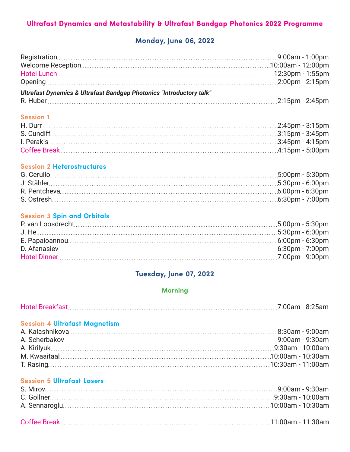# Ultrafast Dynamics and Metastability & Ultrafast Bandgap Photonics 2022 Programme

# **Monday, June 06, 2022**

| Ultrafast Dynamics & Ultrafast Bandgap Photonics "Introductory talk" |  |  |
|----------------------------------------------------------------------|--|--|
|                                                                      |  |  |

#### **Session 1**

#### **Session 2 Heterostructures**

#### **Session 3 Spin and Orbitals**

## **Tuesday, June 07, 2022**

## **Morning**

| <b>Hotel Breakfast</b> | 7.00cm | 8:25am |
|------------------------|--------|--------|
|------------------------|--------|--------|

### **Session 4 Ultrafast Magnetism**

## **Session 5 Ultrafast Lasers**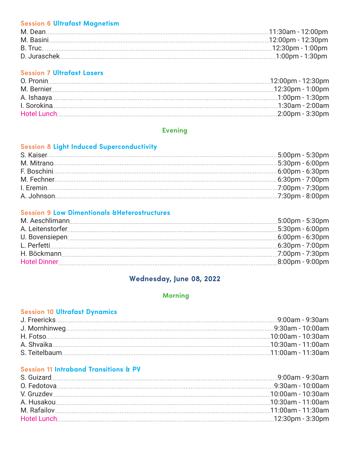### **Session 6 Ultrafast Magnetism**

## **Session 7 Ultrafast Lasers**

### **Evening**

### **Session 8 Light Induced Superconductivity**

#### **Session 9 Low Dimentionals &Heterostructures**

# **Wednesday, June 08, 2022**

### **Morning**

### **Session 10 Ultrafast Dynamics**

## **Session 11 Intraband Transitions & PV**